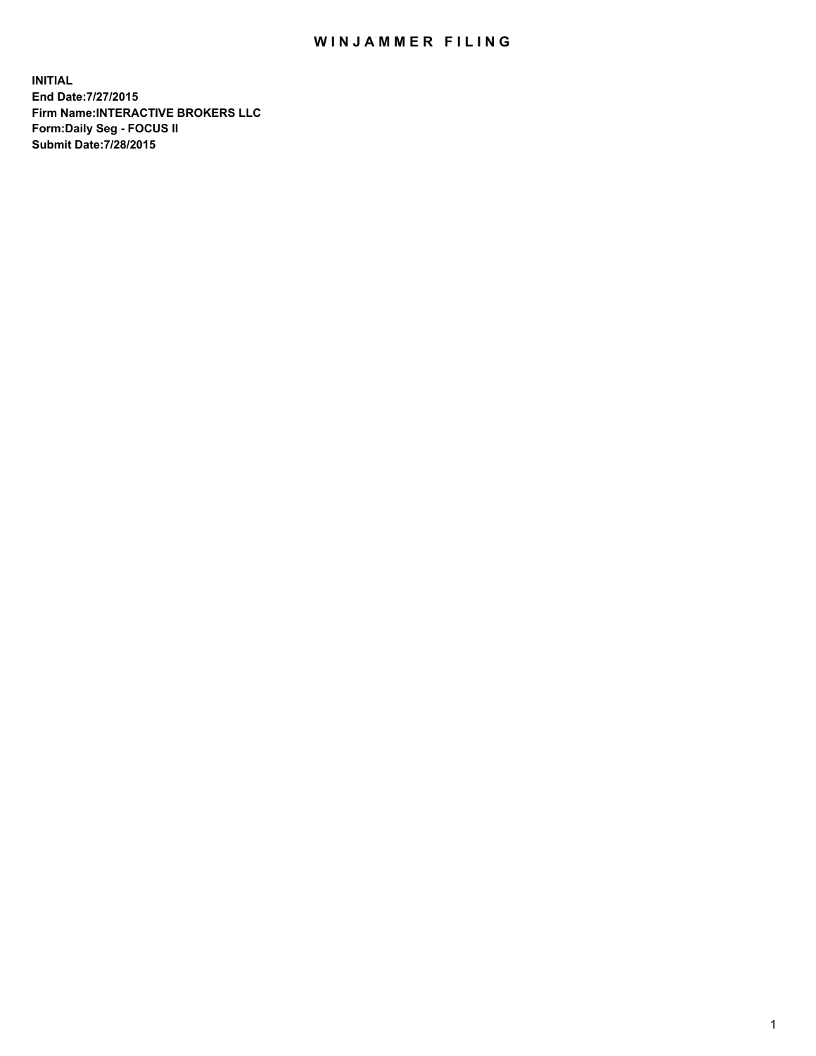## WIN JAMMER FILING

**INITIAL End Date:7/27/2015 Firm Name:INTERACTIVE BROKERS LLC Form:Daily Seg - FOCUS II Submit Date:7/28/2015**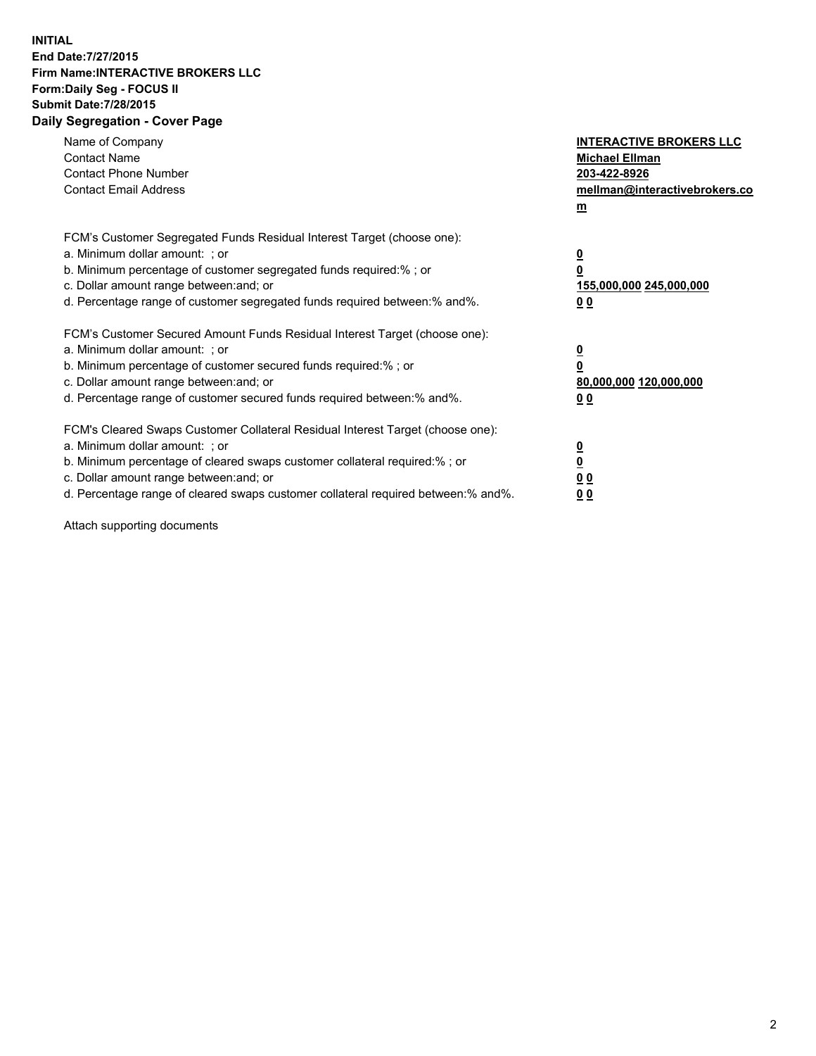## **INITIAL End Date:7/27/2015 Firm Name:INTERACTIVE BROKERS LLC Form:Daily Seg - FOCUS II Submit Date:7/28/2015 Daily Segregation - Cover Page**

| Name of Company<br><b>Contact Name</b><br><b>Contact Phone Number</b><br><b>Contact Email Address</b>                                                                                                                                                                                                                          | <b>INTERACTIVE BROKERS LLC</b><br><b>Michael Ellman</b><br>203-422-8926<br>mellman@interactivebrokers.co<br>$m$ |
|--------------------------------------------------------------------------------------------------------------------------------------------------------------------------------------------------------------------------------------------------------------------------------------------------------------------------------|-----------------------------------------------------------------------------------------------------------------|
| FCM's Customer Segregated Funds Residual Interest Target (choose one):<br>a. Minimum dollar amount: ; or<br>b. Minimum percentage of customer segregated funds required:% ; or<br>c. Dollar amount range between: and; or<br>d. Percentage range of customer segregated funds required between: % and %.                       | $\overline{\mathbf{0}}$<br>0<br>155,000,000 245,000,000<br>00                                                   |
| FCM's Customer Secured Amount Funds Residual Interest Target (choose one):<br>a. Minimum dollar amount: ; or<br>b. Minimum percentage of customer secured funds required:%; or<br>c. Dollar amount range between: and; or<br>d. Percentage range of customer secured funds required between: % and %.                          | $\overline{\mathbf{0}}$<br>0<br>80,000,000 120,000,000<br>0 <sub>0</sub>                                        |
| FCM's Cleared Swaps Customer Collateral Residual Interest Target (choose one):<br>a. Minimum dollar amount: ; or<br>b. Minimum percentage of cleared swaps customer collateral required:% ; or<br>c. Dollar amount range between: and; or<br>d. Percentage range of cleared swaps customer collateral required between:% and%. | $\overline{\mathbf{0}}$<br>$\underline{\mathbf{0}}$<br>0 <sub>0</sub><br>0 <sub>0</sub>                         |

Attach supporting documents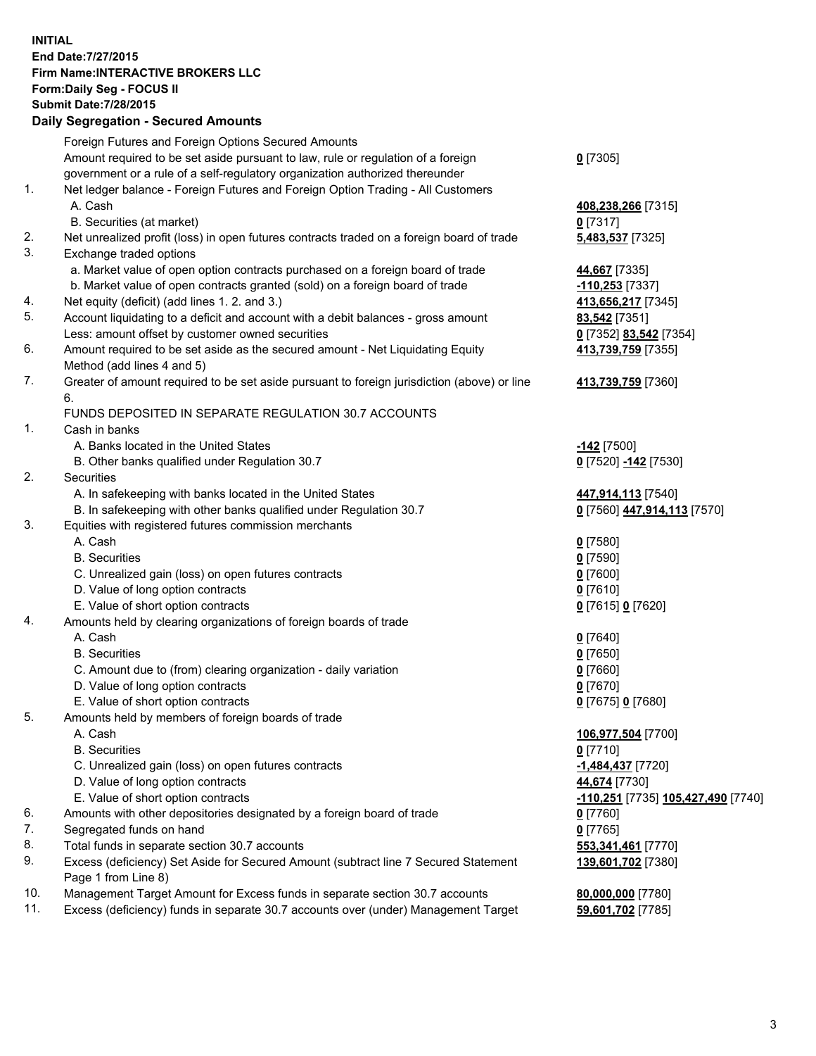## **INITIAL End Date:7/27/2015 Firm Name:INTERACTIVE BROKERS LLC Form:Daily Seg - FOCUS II Submit Date:7/28/2015 Daily Segregation - Secured Amounts**

|     | Foreign Futures and Foreign Options Secured Amounts                                                |                                          |
|-----|----------------------------------------------------------------------------------------------------|------------------------------------------|
|     | Amount required to be set aside pursuant to law, rule or regulation of a foreign                   | $0$ [7305]                               |
|     | government or a rule of a self-regulatory organization authorized thereunder                       |                                          |
| 1.  | Net ledger balance - Foreign Futures and Foreign Option Trading - All Customers                    |                                          |
|     | A. Cash                                                                                            | 408,238,266 [7315]                       |
|     | B. Securities (at market)                                                                          | $0$ [7317]                               |
| 2.  | Net unrealized profit (loss) in open futures contracts traded on a foreign board of trade          | 5,483,537 [7325]                         |
| 3.  | Exchange traded options                                                                            |                                          |
|     | a. Market value of open option contracts purchased on a foreign board of trade                     | 44,667 [7335]                            |
|     | b. Market value of open contracts granted (sold) on a foreign board of trade                       | -110,253 [7337]                          |
| 4.  | Net equity (deficit) (add lines 1.2. and 3.)                                                       | 413,656,217 [7345]                       |
| 5.  | Account liquidating to a deficit and account with a debit balances - gross amount                  | <b>83,542</b> [7351]                     |
|     | Less: amount offset by customer owned securities                                                   | 0 [7352] 83,542 [7354]                   |
| 6.  | Amount required to be set aside as the secured amount - Net Liquidating Equity                     | 413,739,759 [7355]                       |
|     | Method (add lines 4 and 5)                                                                         |                                          |
| 7.  | Greater of amount required to be set aside pursuant to foreign jurisdiction (above) or line        | 413,739,759 [7360]                       |
|     | 6.                                                                                                 |                                          |
|     | FUNDS DEPOSITED IN SEPARATE REGULATION 30.7 ACCOUNTS                                               |                                          |
| 1.  | Cash in banks                                                                                      |                                          |
|     | A. Banks located in the United States                                                              | $-142$ [7500]                            |
|     | B. Other banks qualified under Regulation 30.7                                                     | 0 [7520] -142 [7530]                     |
| 2.  | Securities                                                                                         |                                          |
|     | A. In safekeeping with banks located in the United States                                          | 447,914,113 [7540]                       |
|     | B. In safekeeping with other banks qualified under Regulation 30.7                                 | 0 [7560] 447,914,113 [7570]              |
| 3.  | Equities with registered futures commission merchants                                              |                                          |
|     | A. Cash                                                                                            | $0$ [7580]                               |
|     | <b>B.</b> Securities                                                                               | $0$ [7590]                               |
|     | C. Unrealized gain (loss) on open futures contracts                                                | $0$ [7600]                               |
|     | D. Value of long option contracts                                                                  | $0$ [7610]                               |
|     | E. Value of short option contracts                                                                 | 0 [7615] 0 [7620]                        |
| 4.  | Amounts held by clearing organizations of foreign boards of trade                                  |                                          |
|     | A. Cash                                                                                            | $0$ [7640]                               |
|     | <b>B.</b> Securities                                                                               | $0$ [7650]                               |
|     | C. Amount due to (from) clearing organization - daily variation                                    | $0$ [7660]                               |
|     | D. Value of long option contracts<br>E. Value of short option contracts                            | $0$ [7670]                               |
| 5.  |                                                                                                    | 0 [7675] 0 [7680]                        |
|     | Amounts held by members of foreign boards of trade<br>A. Cash                                      |                                          |
|     |                                                                                                    | 106,977,504 [7700]                       |
|     | <b>B.</b> Securities                                                                               | $0$ [7710]                               |
|     | C. Unrealized gain (loss) on open futures contracts<br>D. Value of long option contracts           | -1,484,437 [7720]                        |
|     | E. Value of short option contracts                                                                 | 44,674 [7730]                            |
| 6.  |                                                                                                    | -110,251 [7735] 105,427,490 [7740]       |
| 7.  | Amounts with other depositories designated by a foreign board of trade<br>Segregated funds on hand | 0 [7760]                                 |
| 8.  | Total funds in separate section 30.7 accounts                                                      | $0$ [7765]                               |
| 9.  | Excess (deficiency) Set Aside for Secured Amount (subtract line 7 Secured Statement                | 553,341,461 [7770]<br>139,601,702 [7380] |
|     | Page 1 from Line 8)                                                                                |                                          |
| 10. | Management Target Amount for Excess funds in separate section 30.7 accounts                        | 80,000,000 [7780]                        |
| 11. | Excess (deficiency) funds in separate 30.7 accounts over (under) Management Target                 | 59,601,702 [7785]                        |
|     |                                                                                                    |                                          |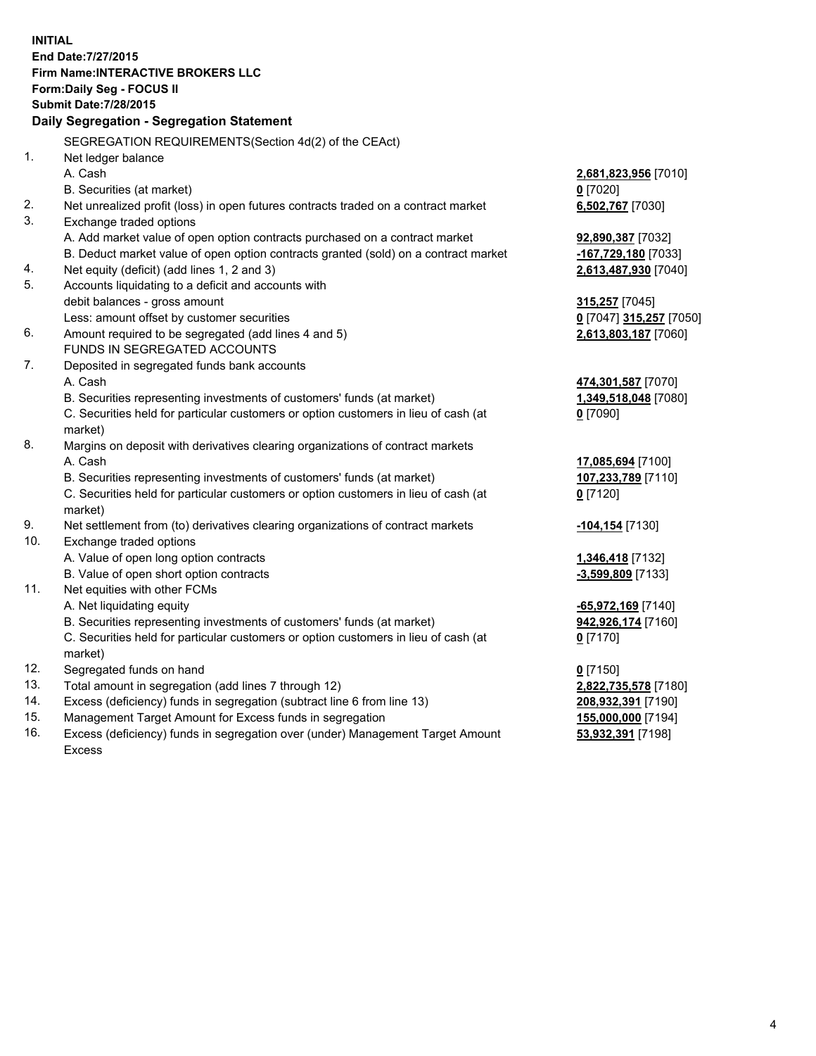**INITIAL End Date:7/27/2015 Firm Name:INTERACTIVE BROKERS LLC Form:Daily Seg - FOCUS II Submit Date:7/28/2015 Daily Segregation - Segregation Statement** SEGREGATION REQUIREMENTS(Section 4d(2) of the CEAct) 1. Net ledger balance A. Cash **2,681,823,956** [7010] B. Securities (at market) **0** [7020] 2. Net unrealized profit (loss) in open futures contracts traded on a contract market **6,502,767** [7030] 3. Exchange traded options A. Add market value of open option contracts purchased on a contract market **92,890,387** [7032] B. Deduct market value of open option contracts granted (sold) on a contract market **-167,729,180** [7033] 4. Net equity (deficit) (add lines 1, 2 and 3) **2,613,487,930** [7040] 5. Accounts liquidating to a deficit and accounts with debit balances - gross amount **315,257** [7045] Less: amount offset by customer securities **0** [7047] **315,257** [7050] 6. Amount required to be segregated (add lines 4 and 5) **2,613,803,187** [7060] FUNDS IN SEGREGATED ACCOUNTS 7. Deposited in segregated funds bank accounts A. Cash **474,301,587** [7070] B. Securities representing investments of customers' funds (at market) **1,349,518,048** [7080] C. Securities held for particular customers or option customers in lieu of cash (at market) **0** [7090] 8. Margins on deposit with derivatives clearing organizations of contract markets A. Cash **17,085,694** [7100] B. Securities representing investments of customers' funds (at market) **107,233,789** [7110] C. Securities held for particular customers or option customers in lieu of cash (at market) **0** [7120] 9. Net settlement from (to) derivatives clearing organizations of contract markets **-104,154** [7130] 10. Exchange traded options A. Value of open long option contracts **1,346,418** [7132] B. Value of open short option contracts **and the set of open short option contracts -3,599,809** [7133] 11. Net equities with other FCMs A. Net liquidating equity **-65,972,169** [7140] B. Securities representing investments of customers' funds (at market) **942,926,174** [7160] C. Securities held for particular customers or option customers in lieu of cash (at market) **0** [7170] 12. Segregated funds on hand **0** [7150] 13. Total amount in segregation (add lines 7 through 12) **2,822,735,578** [7180] 14. Excess (deficiency) funds in segregation (subtract line 6 from line 13) **208,932,391** [7190] 15. Management Target Amount for Excess funds in segregation **155,000,000** [7194]

16. Excess (deficiency) funds in segregation over (under) Management Target Amount Excess

**53,932,391** [7198]